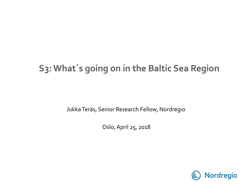### **S3: What´s going on in the Baltic Sea Region**

Jukka Teräs, Senior Research Fellow, Nordregio

Oslo, April 25, 2018

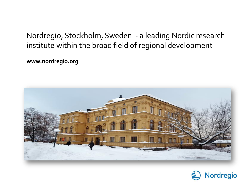#### Nordregio, Stockholm, Sweden - a leading Nordic research institute within the broad field of regional development

**www.nordregio.org**



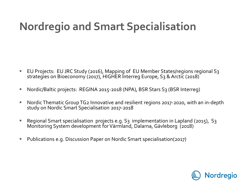## **Nordregio and Smart Specialisation**

- EU Projects: EU JRC Study (2016), Mapping of EU Member States/regions regional S3 strategies on Bioeconomy (2017), HIGHER Interreg Europe, S3 & Arctic (2018)
- Nordic/Baltic projects: REGINA 2015-2018 (NPA), BSR Stars S3 (BSR Interreg)
- Nordic Thematic Group TG2 Innovative and resilient regions 2017-2020, with an in-depth study on Nordic Smart Specialisation 2017-2018
- Regional Smart specialisation projects e.g. S3 implementation in Lapland (2015), S3 Monitoring System development for Värmland, Dalarna, Gävleborg (2018)
- Publications e.g. Discussion Paper on Nordic Smart specialisation(2017)

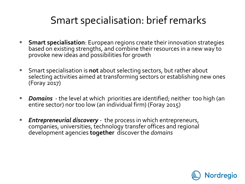### Smart specialisation: brief remarks

- **Smart specialisation**: European regions create their innovation strategies based on existing strengths, and combine their resources in a new way to provoke new ideas and possibilities for growth
- Smart specialisation is **not** about selecting sectors, but rather about selecting activities aimed at transforming sectors or establishing new ones (Foray 2017)
- *Domains* the level at which priorities are identified; neither too high (an entire sector) nor too low (an individual firm) (Foray 2015)
- *Entrepreneurial discovery* the process in which entrepreneurs, companies, universities, technology transfer offices and regional development agencies **together** discover the *domains*

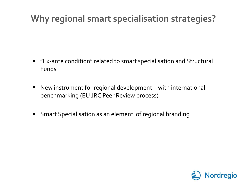### **Why regional smart specialisation strategies?**

- "Ex-ante condition" related to smart specialisation and Structural Funds
- New instrument for regional development with international benchmarking (EU JRC Peer Review process)
- **Smart Specialisation as an element of regional branding**

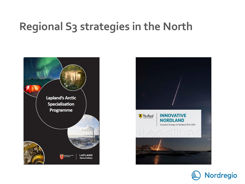### **Regional S3 strategies in the North**





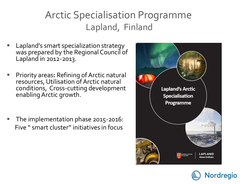### Arctic Specialisation Programme Lapland, Finland

- Lapland's smart specialization strategy was prepared by the Regional Council of Lapland in 2012-2013.
- Priority areas**:** Refining of Arctic natural resources, Utilisation of Arctic natural conditions, Cross-cutting development enabling Arctic growth.
- The implementation phase 2015-2016: Five " smart cluster" initiatives in focus



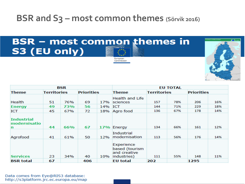#### **BSR and S3 – most common themes (Sörvik 2016)**





| BSR                                    |                    |     |                   |         | <b>EU TOTAL</b>                                             |                    |     |                   |     |
|----------------------------------------|--------------------|-----|-------------------|---------|-------------------------------------------------------------|--------------------|-----|-------------------|-----|
| Theme                                  | <b>Territories</b> |     | <b>Priorities</b> |         | Theme                                                       | <b>Territories</b> |     | <b>Priorities</b> |     |
| Health                                 | 51                 | 76% | 69                | 17%     | Health and Life<br>sciences                                 | 157                | 78% | 206               | 16% |
| <b>Energy</b>                          | 49                 | 73% | 56                | 14% ICT |                                                             | 144                | 71% | 229               | 18% |
| ICT                                    | 45                 | 67% | 72                |         | 18% Agro food                                               | 136                | 67% | 178               | 14% |
| <b>Industrial</b><br>modernisatio<br>n | 44                 | 66% | 67                |         | 17% Energy                                                  | 134                | 66% | 161               | 12% |
| Agrofood                               | 41                 | 61% | 50                | 12%     | <b>Industrial</b><br>modernisation                          | 113                | 56% | 176               | 14% |
| <b>Services</b>                        | 23                 | 34% | 40                | 10%     | Experience<br>based (tourism<br>and creative<br>industries) | 111                | 55% | 148               | 11% |
| <b>BSR</b> total                       | 67                 |     | 406               |         | EU total                                                    | 202                |     | 1295              |     |

Commission

Data comes from Eye@RIS3 database: http://s3platform.jrc.ec.europa.eu/map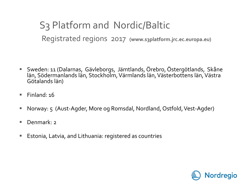S3 Platform and Nordic/Baltic Registrated regions 2017 **(www.s3platform.jrc.ec.europa.eu)**

- Sweden: 11 (Dalarnas, Gävleborgs, Jämtlands, Örebro, Östergötlands, Skåne län, Södermanlands län, Stockholm, Värmlands län, Västerbottens län, Västra Götalands län)
- Finland:  $16$
- Norway: 5 (Aust-Agder, More og Romsdal, Nordland, Ostfold, Vest-Agder)
- Denmark· 2
- Estonia, Latvia, and Lithuania: registered as countries

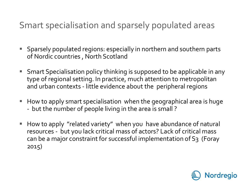#### Smart specialisation and sparsely populated areas

- Sparsely populated regions: especially in northern and southern parts of Nordic countries , North Scotland
- Smart Specialisation policy thinking is supposed to be applicable in any type of regional setting. In practice, much attention to metropolitan and urban contexts - little evidence about the peripheral regions
- How to apply smart specialisation when the geographical area is huge - but the number of people living in the area is small ?
- How to apply "related variety" when you have abundance of natural resources - but you lack critical mass of actors? Lack of critical mass can be a major constraint for successful implementation of S3 (Foray 2015)

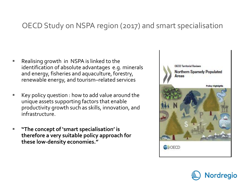#### OECD Study on NSPA region (2017) and smart specialisation

- Realising growth in NSPA is linked to the identification of absolute advantages e.g. minerals and energy, fisheries and aquaculture, forestry, renewable energy, and tourism–related services
- Key policy question : how to add value around the unique assets supporting factors that enable productivity growth such as skills, innovation, and infrastructure.
- **"The concept of 'smart specialisation' is therefore a very suitable policy approach for these low-density economies."**



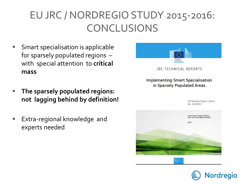### EU JRC / NORDREGIO STUDY 2015-2016: CONCLUSIONS

- Smart specialisation is applicable for sparsely populated regions – with special attention to **critical mass**
- **The sparsely populated regions: not lagging behind by definition!**
- Extra-regional knowledge and experts needed



JRC TECHNICAL REPORTS

**Implementing Smart Specialisation** in Sparsely Populated Areas

> **53 Working Papers Series** No. 10/2015



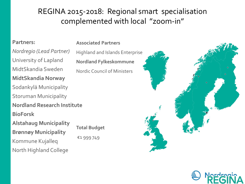#### REGINA 2015-2018: Regional smart specialisation complemented with local "zoom-in"

#### **Partners:**

*Nordregio (Lead Partner)* University of Lapland MidtSkandia Sweden **MidtSkandia Norway** Sodankylä Municipality Storuman Municipality **Nordland Research Institute BioForsk Alstahaug Municipality Brønnøy Municipality** Kommune Kujalleq North Highland College

**Associated Partners**

Highland and Islands Enterprise **Nordland Fylkeskommune** Nordic Council of Ministers

**Total Budget** €1 999 749



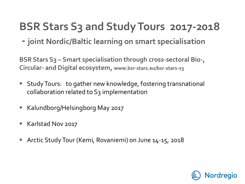### **BSR Stars S3 and StudyTours 2017-2018**

**- joint Nordic/Baltic learning on smart specialisation**

**BSR Stars S3 – Smart specialisation through cross-sectoral Bio-, Circular- and Digital ecosystem, www.bsr-stars.eu/bsr-stars-s3**

- Study Tours: to gather new knowledge, fostering transnational collaboration related to S3 implementation
- Kalundborg/Helsingborg May 2017
- Karlstad Nov 2017
- Arctic Study Tour (Kemi, Rovaniemi) on June 14-15, 2018

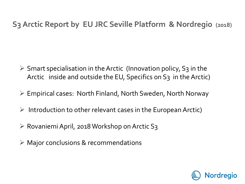#### **S3 Arctic Report by EU JRC Seville Platform & Nordregio (2018)**

- $\triangleright$  Smart specialisation in the Arctic (Innovation policy, S3 in the Arctic inside and outside the EU, Specifics on S3 in the Arctic)
- Empirical cases: North Finland, North Sweden, North Norway
- $\triangleright$  Introduction to other relevant cases in the European Arctic)
- $\triangleright$  Rovaniemi April, 2018 Workshop on Arctic S3
- $\triangleright$  Major conclusions & recommendations

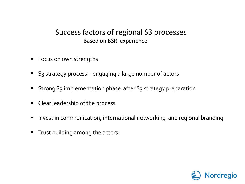#### Success factors of regional S3 processes Based on BSR experience

- Focus on own strengths
- S3 strategy process engaging a large number of actors
- Strong S<sub>3</sub> implementation phase after S<sub>3</sub> strategy preparation
- Clear leadership of the process
- Invest in communication, international networking and regional branding
- **Trust building among the actors!**